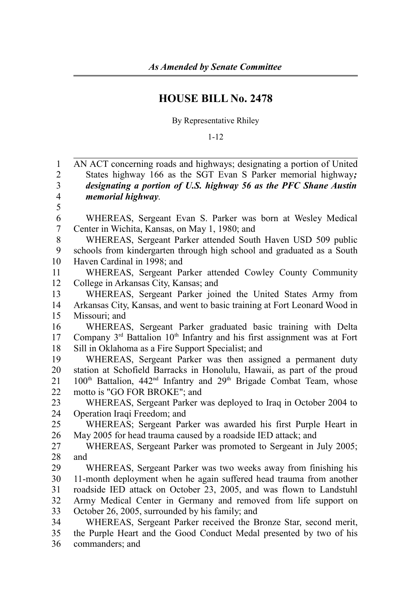## **HOUSE BILL No. 2478**

By Representative Rhiley

1-12

| 1                       | AN ACT concerning roads and highways; designating a portion of United                                   |
|-------------------------|---------------------------------------------------------------------------------------------------------|
| $\overline{2}$          | States highway 166 as the SGT Evan S Parker memorial highway;                                           |
| $\mathfrak{Z}$          | designating a portion of U.S. highway 56 as the PFC Shane Austin                                        |
| $\overline{\mathbf{4}}$ | memorial highway.                                                                                       |
| 5                       |                                                                                                         |
| 6                       | WHEREAS, Sergeant Evan S. Parker was born at Wesley Medical                                             |
| 7                       | Center in Wichita, Kansas, on May 1, 1980; and                                                          |
| 8                       | WHEREAS, Sergeant Parker attended South Haven USD 509 public                                            |
| 9                       | schools from kindergarten through high school and graduated as a South                                  |
| 10                      | Haven Cardinal in 1998; and                                                                             |
| 11                      | WHEREAS, Sergeant Parker attended Cowley County Community                                               |
| 12                      | College in Arkansas City, Kansas; and                                                                   |
| 13                      | WHEREAS, Sergeant Parker joined the United States Army from                                             |
| 14                      | Arkansas City, Kansas, and went to basic training at Fort Leonard Wood in                               |
| 15                      | Missouri; and                                                                                           |
| 16                      | WHEREAS, Sergeant Parker graduated basic training with Delta                                            |
| 17                      | Company 3 <sup>rd</sup> Battalion 10 <sup>th</sup> Infantry and his first assignment was at Fort        |
| 18                      | Sill in Oklahoma as a Fire Support Specialist; and                                                      |
| 19                      | WHEREAS, Sergeant Parker was then assigned a permanent duty                                             |
| 20                      | station at Schofield Barracks in Honolulu, Hawaii, as part of the proud                                 |
| 21                      | 100 <sup>th</sup> Battalion, 442 <sup>nd</sup> Infantry and 29 <sup>th</sup> Brigade Combat Team, whose |
| 22                      | motto is "GO FOR BROKE"; and                                                                            |
| 23                      | WHEREAS, Sergeant Parker was deployed to Iraq in October 2004 to                                        |
| 24                      | Operation Iraqi Freedom; and                                                                            |
| 25                      | WHEREAS; Sergeant Parker was awarded his first Purple Heart in                                          |
| 26                      | May 2005 for head trauma caused by a roadside IED attack; and                                           |
| 27                      | WHEREAS, Sergeant Parker was promoted to Sergeant in July 2005;                                         |
| 28                      | and                                                                                                     |
| 29                      | WHEREAS, Sergeant Parker was two weeks away from finishing his                                          |
| 30                      | 11-month deployment when he again suffered head trauma from another                                     |
| 31                      | roadside IED attack on October 23, 2005, and was flown to Landstuhl                                     |
| 32                      | Army Medical Center in Germany and removed from life support on                                         |
| 33                      | October 26, 2005, surrounded by his family; and                                                         |
| 34                      | WHEREAS, Sergeant Parker received the Bronze Star, second merit,                                        |
| 35                      | the Purple Heart and the Good Conduct Medal presented by two of his                                     |

commanders; and 36